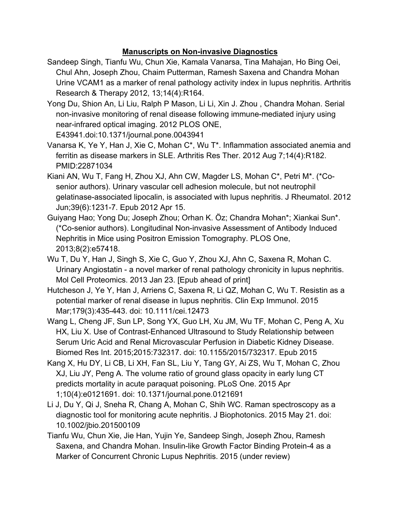## **Manuscripts on Non-invasive Diagnostics**

- Sandeep Singh, Tianfu Wu, Chun Xie, Kamala Vanarsa, Tina Mahajan, Ho Bing Oei, Chul Ahn, Joseph Zhou, Chaim Putterman, Ramesh Saxena and Chandra Mohan Urine VCAM1 as a marker of renal pathology activity index in lupus nephritis. Arthritis Research & Therapy 2012, 13;14(4):R164.
- Yong Du, Shion An, Li Liu, Ralph P Mason, Li Li, Xin J. Zhou , Chandra Mohan. Serial non-invasive monitoring of renal disease following immune-mediated injury using near-infrared optical imaging. 2012 PLOS ONE, E43941.doi:10.1371/journal.pone.0043941
- Vanarsa K, Ye Y, Han J, Xie C, Mohan C\*, Wu T\*. Inflammation associated anemia and ferritin as disease markers in SLE. Arthritis Res Ther. 2012 Aug 7;14(4):R182. PMID:22871034
- Kiani AN, Wu T, Fang H, Zhou XJ, Ahn CW, Magder LS, Mohan C\*, Petri M\*. (\*Cosenior authors). Urinary vascular cell adhesion molecule, but not neutrophil gelatinase-associated lipocalin, is associated with lupus nephritis. J Rheumatol. 2012 Jun;39(6):1231-7. Epub 2012 Apr 15.
- Guiyang Hao; Yong Du; Joseph Zhou; Orhan K. Öz; Chandra Mohan\*; Xiankai Sun\*. (\*Co-senior authors). Longitudinal Non-invasive Assessment of Antibody Induced Nephritis in Mice using Positron Emission Tomography. PLOS One, 2013;8(2):e57418.
- Wu T, Du Y, Han J, Singh S, Xie C, Guo Y, Zhou XJ, Ahn C, Saxena R, Mohan C. Urinary Angiostatin - a novel marker of renal pathology chronicity in lupus nephritis. Mol Cell Proteomics. 2013 Jan 23. [Epub ahead of print]
- Hutcheson J, Ye Y, Han J, Arriens C, Saxena R, Li QZ, Mohan C, Wu T. Resistin as a potential marker of renal disease in lupus nephritis. Clin Exp Immunol. 2015 Mar;179(3):435-443. doi: 10.1111/cei.12473
- Wang L, Cheng JF, Sun LP, Song YX, Guo LH, Xu JM, Wu TF, Mohan C, Peng A, Xu HX, Liu X. Use of Contrast-Enhanced Ultrasound to Study Relationship between Serum Uric Acid and Renal Microvascular Perfusion in Diabetic Kidney Disease. Biomed Res Int. 2015;2015:732317. doi: 10.1155/2015/732317. Epub 2015
- Kang X, Hu DY, Li CB, Li XH, Fan SL, Liu Y, Tang GY, Ai ZS, Wu T, Mohan C, Zhou XJ, Liu JY, Peng A. The volume ratio of ground glass opacity in early lung CT predicts mortality in acute paraquat poisoning. PLoS One. 2015 Apr 1;10(4):e0121691. doi: 10.1371/journal.pone.0121691
- Li J, Du Y, Qi J, Sneha R, Chang A, Mohan C, Shih WC. Raman spectroscopy as a diagnostic tool for monitoring acute nephritis. J Biophotonics. 2015 May 21. doi: 10.1002/jbio.201500109
- Tianfu Wu, Chun Xie, Jie Han, Yujin Ye, Sandeep Singh, Joseph Zhou, Ramesh Saxena, and Chandra Mohan. Insulin-like Growth Factor Binding Protein-4 as a Marker of Concurrent Chronic Lupus Nephritis. 2015 (under review)